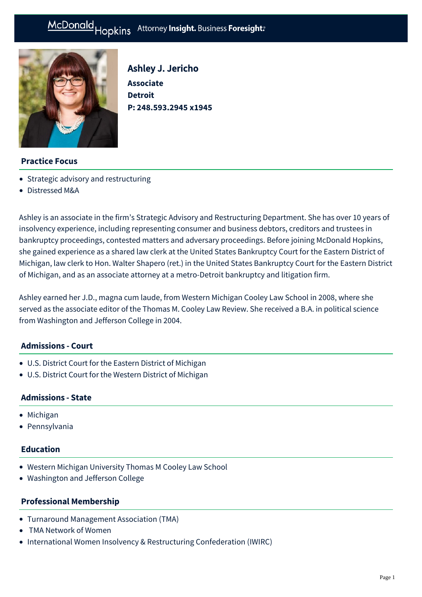# McDonald Hopkins Attorney Insight. Business Foresight:



Ashley J. Jericho **Associate Detroit P: [248.593.2945 x1945](tel:248.593.2945%20x1945)**

## **Practice Focus**

- [Strategic advisory and restructuring](https://mcdonaldhopkins.com/Expertise/Strategic-advisory-and-restructuring)
- [Distressed M&A](https://mcdonaldhopkins.com/Expertise/Strategic-advisory-and-restructuring/Distressed-M-A)

Ashley is an associate in the firm's Strategic Advisory and Restructuring Department. She has over 10 years of insolvency experience, including representing consumer and business debtors, creditors and trustees in bankruptcy proceedings, contested matters and adversary proceedings. Before joining McDonald Hopkins, she gained experience as a shared law clerk at the United States Bankruptcy Court for the Eastern District of Michigan, law clerk to Hon. Walter Shapero (ret.) in the United States Bankruptcy Court for the Eastern District of Michigan, and as an associate attorney at a metro-Detroit bankruptcy and litigation firm.

Ashley earned her J.D., magna cum laude, from Western Michigan Cooley Law School in 2008, where she served as the associate editor of the Thomas M. Cooley Law Review. She received a B.A. in political science from Washington and Jefferson College in 2004.

#### **Admissions - Court**

- U.S. District Court for the Eastern District of Michigan
- U.S. District Court for the Western District of Michigan

## **Admissions - State**

- Michigan
- Pennsylvania

## **Education**

- Western Michigan University Thomas M Cooley Law School
- Washington and Jefferson College

#### **Professional Membership**

- Turnaround Management Association (TMA)
- TMA Network of Women
- International Women Insolvency & Restructuring Confederation (IWIRC)